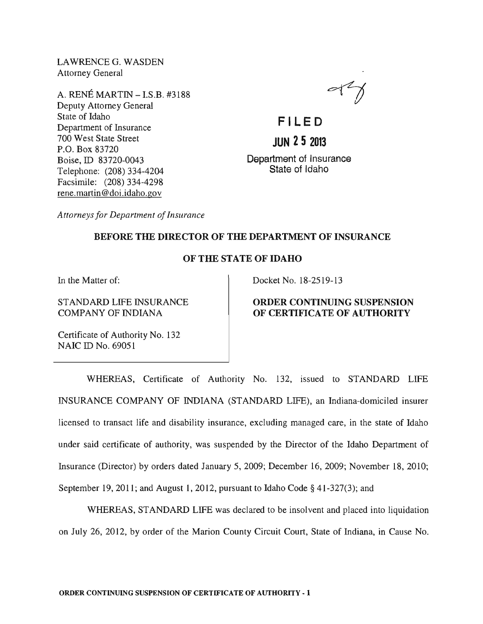LAWRENCEG. WASDEN Attorney General

A. RENE MARTIN - I.S.B. #3188 Deputy Attorney General State of Idaho Department of Insurance 700 West State Street P.O. Box 83720 Boise, ID 83720-0043 Telephone: (208) 334-4204 Facsimile: (208) 334-4298 rene.martin@doi.idaho.gov

 $\ll 1$ 

**FI LE 0 JUN 25 2013**  Department of Insurance State of Idaho

*Attorneys for Department of Insurance* 

# BEFORE THE DIRECTOR OF THE DEPARTMENT OF INSURANCE

### OF THE STATE OF IDAHO

In the Matter of:

STANDARD LIFE INSURANCE COMPANY OF INDIANA

Docket No. 18-2519-13

## ORDER CONTINUING SUSPENSION OF CERTIFICATE OF AUTHORITY

Certificate of Authority No. 132 NAIC ID No. 69051

WHEREAS, Certificate of Authority No. 132, issued to STANDARD LIFE INSURANCE COMPANY OF INDIANA (STANDARD LIFE), an Indiana-domiciled insurer licensed to transact life and disability insurance, excluding managed care, in the state of Idaho under said certificate of authority, was suspended by the Director of the Idaho Department of Insurance (Director) by orders dated January 5, 2009; December 16, 2009; November 18, 2010; September 19, 2011; and August 1, 2012, pursuant to Idaho Code § 41-327(3); and

WHEREAS, STANDARD LIFE was declared to be insolvent and placed into liquidation on July 26, 2012, by order of the Marion County Circuit Court, State of Indiana, in Cause No.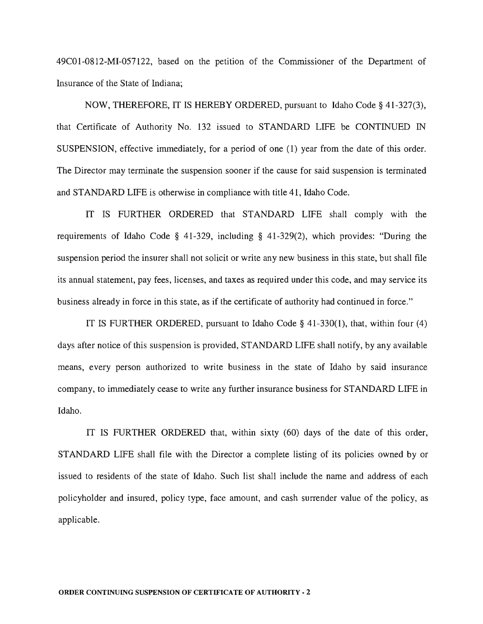49CO 1-0812-MI-057122, based on the petition of the Commissioner of the Department of Insurance of the State of Indiana;

NOW, THEREFORE, IT IS HEREBY ORDERED, pursuant to Idaho Code § 41-327(3), that Certificate of Authority No. 132 issued to STANDARD LIFE be CONTINUED IN SUSPENSION, effective immediately, for a period of one (1) year from the date of this order. The Director may terminate the suspension sooner if the cause for said suspension is terminated and STANDARD LIFE is otherwise in compliance with title 41, Idaho Code.

IT IS FURTHER ORDERED that STANDARD LIFE shall comply with the requirements of Idaho Code § 41-329, including § 41-329(2), which provides: "During the suspension period the insurer shall not solicit or write any new business in this state, but shall file its annual statement, pay fees, licenses, and taxes as required under this code, and may service its business already in force in this state, as if the certificate of authority had continued in force."

IT IS FURTHER ORDERED, pursuant to Idaho Code § 41-330(1), that, within four (4) days after notice of this suspension is provided, STANDARD LIFE shall notify, by any available means, every person authorized to write business in the state of Idaho by said insurance company, to immediately cease to write any further insurance business for STANDARD LIFE in Idaho.

IT IS FURTHER ORDERED that, within sixty (60) days of the date of this order, STANDARD LIFE shall file with the Director a complete listing of its policies owned by or issued to residents of the state of Idaho. Such list shall include the name and address of each policyholder and insured, policy type, face amount, and cash surrender value of the policy, as applicable.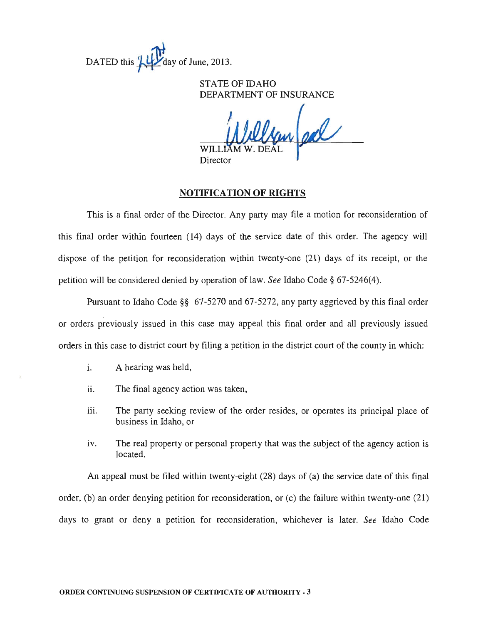

# STATE OF IDAHO DEPARTMENT OF INSURANCE

un ed

**Director** 

### **NOTIFICATION OF RIGHTS**

This is a final order of the Director. Any party may file a motion for reconsideration of this final order within fourteen (14) days of the service date of this order. The agency will dispose of the petition for reconsideration within twenty-one (21) days of its receipt, or the petition will be considered denied by operation of law. *See* Idaho Code § 67-5246(4).

Pursuant to Idaho Code §§ 67-5270 and 67-5272, any party aggrieved by this final order or orders previously issued in this case may appeal this final order and all previously issued orders in this case to district court by filing a petition in the district court of the county in which:

- i. A hearing was held,
- ii. The final agency action was taken,
- iii. The party seeking review of the order resides, or operates its principal place of business in Idaho, or
- iv. The real property or personal property that was the subject of the agency action is located.

An appeal must be filed within twenty-eight (28) days of (a) the service date of this final order, (b) an order denying petition for reconsideration, or (c) the failure within twenty-one (21) days to grant or deny a petition for reconsideration, whichever is later. *See* Idaho Code